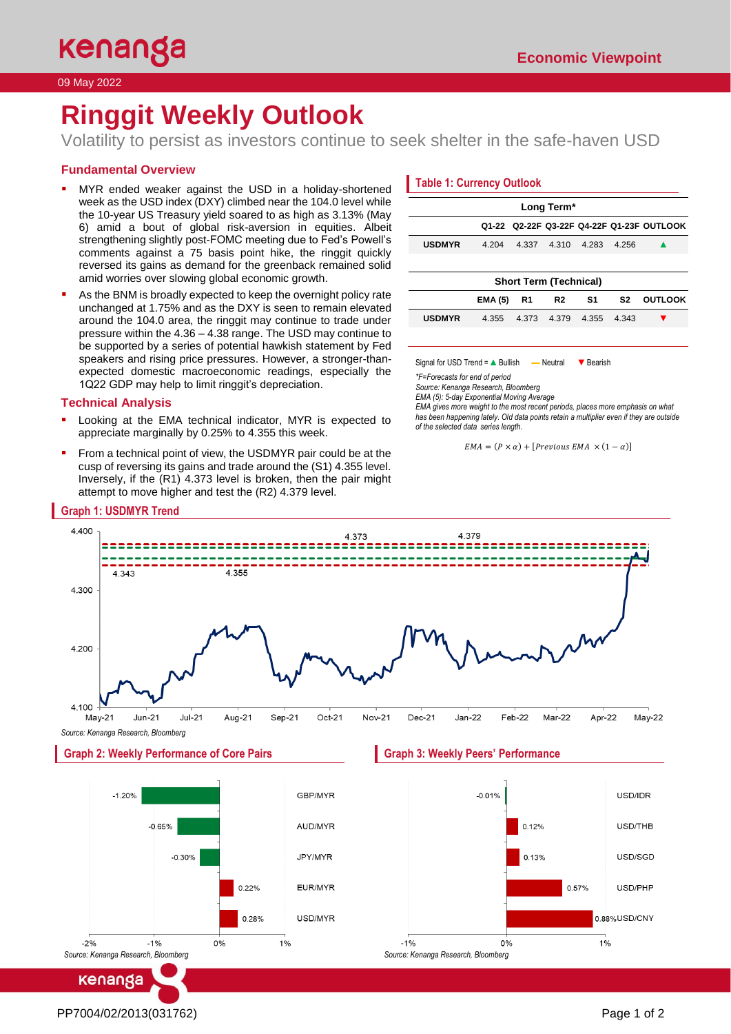09 May 2022

# **Ringgit Weekly Outlook**

Volatility to persist as investors continue to seek shelter in the safe-haven USD

# **Fundamental Overview**

- MYR ended weaker against the USD in a holiday-shortened week as the USD index (DXY) climbed near the 104.0 level while the 10-year US Treasury yield soared to as high as 3.13% (May 6) amid a bout of global risk-aversion in equities. Albeit strengthening slightly post-FOMC meeting due to Fed's Powell's comments against a 75 basis point hike, the ringgit quickly reversed its gains as demand for the greenback remained solid amid worries over slowing global economic growth.
- As the BNM is broadly expected to keep the overnight policy rate unchanged at 1.75% and as the DXY is seen to remain elevated around the 104.0 area, the ringgit may continue to trade under pressure within the 4.36 – 4.38 range. The USD may continue to be supported by a series of potential hawkish statement by Fed speakers and rising price pressures. However, a stronger-thanexpected domestic macroeconomic readings, especially the 1Q22 GDP may help to limit ringgit's depreciation.

## **Technical Analysis**

- Looking at the EMA technical indicator, MYR is expected to appreciate marginally by 0.25% to 4.355 this week.
- From a technical point of view, the USDMYR pair could be at the cusp of reversing its gains and trade around the (S1) 4.355 level. Inversely, if the (R1) 4.373 level is broken, then the pair might attempt to move higher and test the (R2) 4.379 level.

# **Table 1: Currency Outlook**

| Long Term*                                |                |                |                |       |       |                |  |
|-------------------------------------------|----------------|----------------|----------------|-------|-------|----------------|--|
| Q1-22 Q2-22F Q3-22F Q4-22F Q1-23F OUTLOOK |                |                |                |       |       |                |  |
| <b>USDMYR</b>                             | 4.204          | 4.337          | 4.310          | 4.283 | 4.256 |                |  |
|                                           |                |                |                |       |       |                |  |
| <b>Short Term (Technical)</b>             |                |                |                |       |       |                |  |
|                                           | <b>EMA (5)</b> | R <sub>1</sub> | R <sub>2</sub> | S1    | S2    | <b>OUTLOOK</b> |  |
| <b>USDMYR</b>                             | 4.355          | 4.373          | 4.379          | 4.355 | 4.343 |                |  |
|                                           |                |                |                |       |       |                |  |

Signal for USD Trend = A Bullish — Neutral ▼ Bearish

*\*F=Forecasts for end of period* 

*Source: Kenanga Research, Bloomberg*

 $0%$ 

 $-1%$ 

*Source: Kenanga Research, Bloomberg*

*EMA (5): 5-day Exponential Moving Average*

*EMA gives more weight to the most recent periods, places more emphasis on what has been happening lately. Old data points retain a multiplier even if they are outside of the selected data series length.*

```
EMA = (P \times \alpha) + [Previous EMA \times (1 - \alpha)]
```


USD/MYR

 $1%$ 

 $0.28%$ 

0%

kenanga

*Source: Kenanga Research, Bloomberg*

 $-1%$ 

 $-2%$ 

0.88%USD/CNY

 $1%$